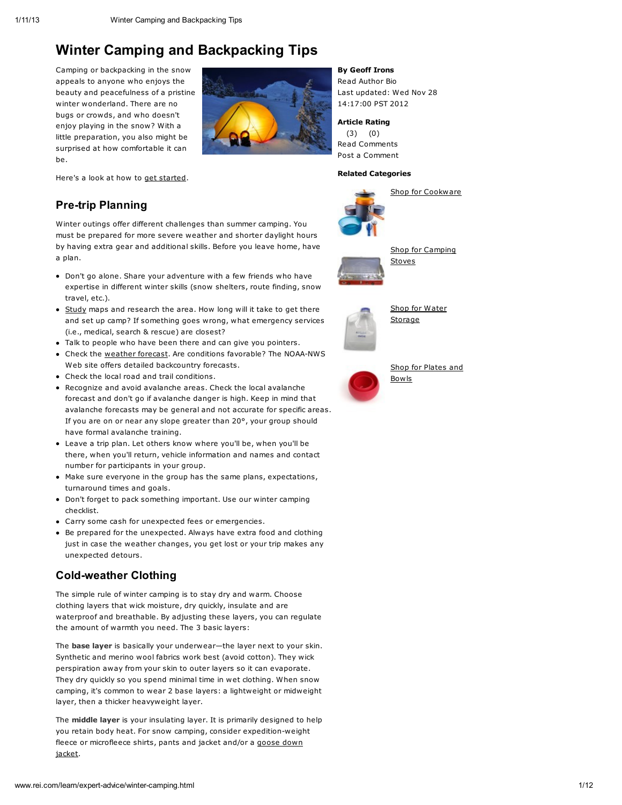Camping or backpacking in the snow appeals to anyone who enjoys the beauty and peacefulness of a pristine winter wonderland. There are no bugs or crowds, and who doesn't enjoy playing in the snow? With a little preparation, you also might be surprised at how comfortable it can be.



By Geoff Irons

Read [Author](http://www.rei.com/learn/author-bios/geoff-irons.html) Bio Last updated: Wed Nov 28 14:17:00 PST 2012

Article Rating (3) (0) Read [Comments](http://www.rei.com/learn/expert-advice/winter-camping.html#anchor_comments) Post a [Comment](http://www.rei.com/learn/expert-advice/winter-camping.html#anchor_comments)

#### Related Categories



Shop for [Cookware](http://www.rei.com/category/5760721)



Shop for [Camping](http://www.rei.com/category/4500035) **Stoves** 



Shop for Water [Storage](http://www.rei.com/category/5760719)



Shop for [Plates](http://www.rei.com/category/5760715) and Bowls

Here's a look at how to get [started](http://www.rei.com/learn/expert-advice/winter-camping.html#).

## Pre-trip Planning

Winter outings offer different challenges than summer camping. You must be prepared for more severe weather and shorter daylight hours by having extra gear and additional skills. Before you leave home, have a plan.

- Don't go alone. Share your adventure with a few friends who have expertise in different winter skills (snow shelters, route finding, snow travel, etc.).
- [Study](http://www.rei.com/learn/expert-advice/winter-camping.html#) maps and research the area. How long will it take to get there and set up camp? If something goes wrong, what emergency services (i.e., medical, search & rescue) are closest?
- Talk to people who have been there and can give you pointers.
- Check the [weather](http://www.rei.com/learn/expert-advice/winter-camping.html#) forecast. Are conditions favorable? The [NOAA-NWS](http://www.nws.noaa.gov/) Web site offers detailed backcountry forecasts.
- Check the local road and trail conditions.
- Recognize and avoid avalanche areas. Check the local avalanche forecast and don't go if avalanche danger is high. Keep in mind that avalanche forecasts may be general and not accurate for specific areas. If you are on or near any slope greater than 20°, your group should have formal avalanche training.
- Leave a trip plan. Let others know where you'll be, when you'll be there, when you'll return, vehicle information and names and contact number for participants in your group.
- Make sure everyone in the group has the same plans, expectations, turnaround times and goals.
- Don't forget to pack [something](http://www.rei.com/expertadvice/articles/snow-camping-checklist.html) important. Use our winter camping checklist.
- Carry some cash for unexpected fees or emergencies.
- Be prepared for the unexpected. Always have extra food and clothing just in case the weather changes, you get [lost](http://www.rei.com/expertadvice/articles/lost.html) or your trip makes any unexpected detours.

### Cold-weather Clothing

The simple rule of winter camping is to stay dry and warm. Choose clothing layers that wick moisture, dry quickly, insulate and are waterproof and breathable. By adjusting these layers, you can regulate the amount of warmth you need. The 3 basic layers:

The base layer is basically your underwear-the layer next to your skin. Synthetic and merino wool fabrics work best (avoid cotton). They wick perspiration away from your skin to outer layers so it can evaporate. They dry quickly so you spend minimal time in wet clothing. When snow camping, it's common to wear 2 base layers: a lightweight or midweight layer, then a thicker heavyweight layer.

The middle layer is your insulating layer. It is primarily designed to help you retain body heat. For snow camping, consider expedition-weight fleece or [microfleece](http://www.rei.com/learn/expert-advice/winter-camping.html#) shirts, pants and jacket and/or a goose down jacket.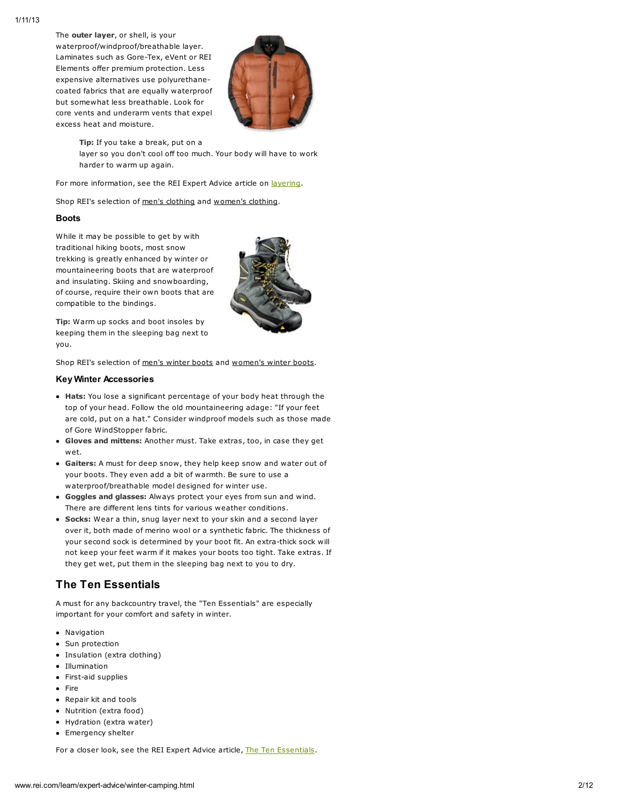The outer layer, or shell, is your waterproof/windproof/breathable layer. Laminates such as Gore-Tex, eVent or REI Elements offer premium protection. Less expensive alternatives use polyurethanecoated fabrics that are equally waterproof but somewhat less breathable. Look for core vents and underarm vents that expel excess heat and moisture.



Tip: If you take a break, put on a layer so you don't cool off too much. Your body will have to work harder to warm up again.

For more information, see the REI Expert Advice article on [layering](http://www.rei.com/learn/expert-advice/dress-layers.html).

Shop REI's selection of men's [clothing](http://www.rei.com/category/4500008) and [women's](http://www.rei.com/category/4500013) clothing.

#### Boots

While it may be possible to get by with traditional hiking boots, most snow trekking is greatly enhanced by winter or mountaineering boots that are waterproof and insulating. Skiing and snowboarding, of course, require their own boots that are compatible to the bindings.



Tip: Warm up socks and boot insoles by keeping them in the sleeping bag next to you.

Shop REI's selection of men's [winter](http://www.rei.com/category/4500231) boots and [women's](http://www.rei.com/category/4500232) winter boots.

#### Key Winter Accessories

- Hats: You lose a significant percentage of your body heat through the top of your head. Follow the old mountaineering adage: "If your feet are cold, put on a hat." Consider windproof models such as those made of Gore WindStopper fabric.
- Gloves and mittens: Another must. Take extras, too, in case they get wet.
- Gaiters: A must for deep snow, they help keep snow and water out of your boots. They even add a bit of warmth. Be sure to use a waterproof/breathable model designed for winter use.
- Goggles and glasses: Always protect your eyes from sun and wind. There are different lens tints for various weather conditions.
- Socks: Wear a thin, snug layer next to your skin and a second layer over it, both made of merino wool or a synthetic fabric. The thickness of your second sock is determined by your boot fit. An extra-thick sock will not keep your feet warm if it makes your boots too tight. Take extras. If they get wet, put them in the sleeping bag next to you to dry.

### The Ten Essentials

A must for any backcountry travel, the "Ten Essentials" are especially important for your comfort and safety in winter.

- Navigation
- Sun protection
- Insulation (extra clothing)
- Illumination
- First-aid supplies
- Fire
- Repair kit and tools
- Nutrition (extra food)
- Hydration (extra water)
- Emergency shelter

For a closer look, see the REI Expert Advice article, The Ten [Essentials.](http://www.rei.com/learn/expert-advice/ten-essentials.html)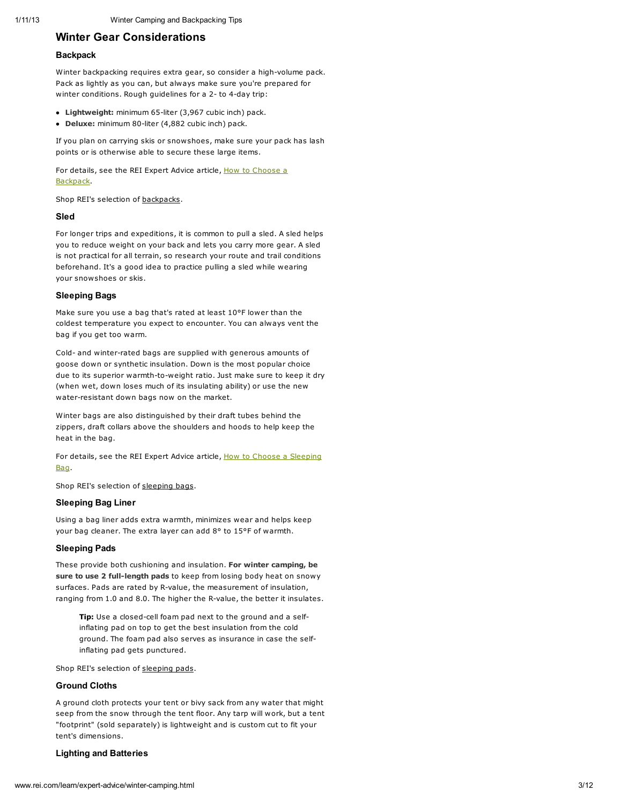### Winter Gear Considerations

#### **Backpack**

Winter backpacking requires extra gear, so consider a high-volume pack. Pack as lightly as you can, but always make sure you're prepared for winter conditions. Rough guidelines for a 2- to 4-day trip:

- Lightweight: minimum 65-liter (3,967 cubic inch) pack.
- Deluxe: minimum 80-liter (4,882 cubic inch) pack.

If you plan on carrying skis or snowshoes, make sure your pack has lash points or is otherwise able to secure these large items.

For details, see the REI Expert Advice article, How to Choose a [Backpack.](http://www.rei.com/learn/expert-advice/backpack.html)

Shop REI's selection of [backpacks.](http://www.rei.com/category/4500001_Backpacks)

#### Sled

For longer trips and expeditions, it is common to pull a sled. A sled helps you to reduce weight on your back and lets you carry more gear. A sled is not practical for all terrain, so research your route and trail conditions beforehand. It's a good idea to practice pulling a sled while wearing your snowshoes or skis.

#### Sleeping Bags

Make sure you use a bag that's rated at least 10°F lower than the coldest temperature you expect to encounter. You can always vent the bag if you get too warm.

Cold- and winter-rated bags are supplied with generous amounts of goose down or synthetic insulation. Down is the most popular choice due to its superior warmth-to-weight ratio. Just make sure to keep it dry (when wet, down loses much of its insulating ability) or use the new water-resistant down bags now on the market.

Winter bags are also distinguished by their draft tubes behind the zippers, draft collars above the shoulders and hoods to help keep the heat in the bag.

For details, see the REI Expert Advice article, How to Choose a [Sleeping](http://www.rei.com/learn/expert-advice/sleeping-bag.html) Bag.

Shop REI's selection of [sleeping](http://www.rei.com/category/4500001_Sleeping+Bags) bags.

#### Sleeping Bag Liner

Using a bag liner adds extra warmth, minimizes wear and helps keep your bag cleaner. The extra layer can add 8° to 15°F of warmth.

#### Sleeping Pads

These provide both cushioning and insulation. For winter camping, be sure to use 2 full-length pads to keep from losing body heat on snowy surfaces. Pads are rated by R-value, the measurement of insulation, ranging from 1.0 and 8.0. The higher the R-value, the better it insulates.

Tip: Use a closed-cell foam pad next to the ground and a selfinflating pad on top to get the best insulation from the cold ground. The foam pad also serves as insurance in case the selfinflating pad gets punctured.

Shop REI's selection of [sleeping](http://www.rei.com/category/4500001_Sleeping+Pads) pads.

#### Ground Cloths

A ground cloth protects your tent or bivy sack from any water that might seep from the snow through the tent floor. Any tarp will work, but a tent "footprint" (sold separately) is lightweight and is custom cut to fit your tent's dimensions.

#### Lighting and Batteries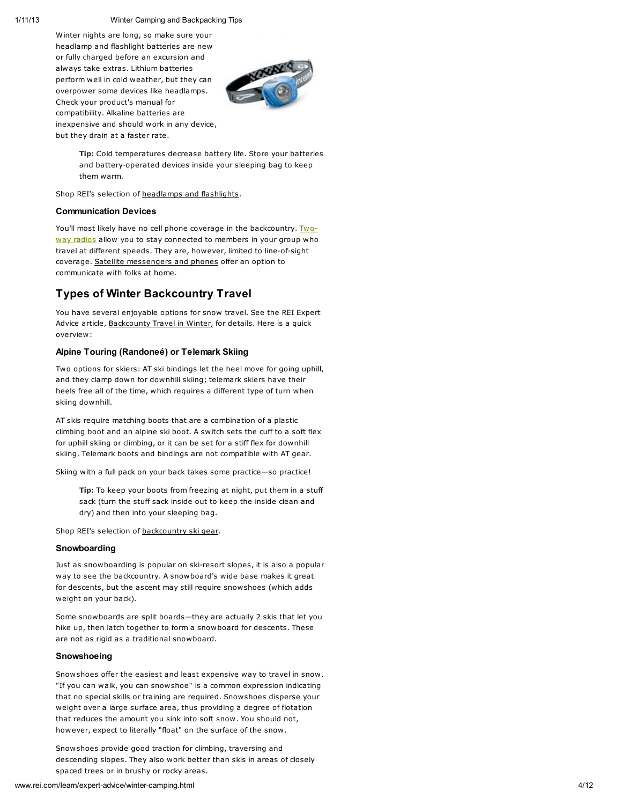Winter nights are long, so make sure your headlamp and flashlight batteries are new or fully charged before an excursion and always take extras. Lithium batteries perform well in cold weather, but they can overpower some devices like headlamps. Check your product's manual for compatibility. Alkaline batteries are inexpensive and should work in any device, but they drain at a faster rate.



Tip: Cold temperatures decrease battery life. Store your batteries and battery-operated devices inside your sleeping bag to keep them warm.

Shop REI's selection of [headlamps](http://www.rei.com/category/4500058/q/Headlamps) and flashlights.

#### Communication Devices

You'll most likely have no cell phone coverage in the [backcountry.](http://www.rei.com/learn/expert-advice/winter-camping.html) Twoway radios allow you to stay connected to members in your group who travel at different speeds. They are, however, limited to line-of-sight coverage. Satellite [messengers](http://www.rei.com/category/40004300) and phones offer an option to communicate with folks at home.

### Types of Winter Backcountry Travel

You have several enjoyable options for snow travel. See the REI Expert Advice article, [Backcounty](http://www.rei.com/learn/expert-advice/backcountry-travel.html) Travel in Winter, for details. Here is a quick overview:

#### Alpine Touring (Randoneé) or Telemark Skiing

Two options for skiers: AT ski bindings let the heel move for going uphill, and they clamp down for downhill skiing; telemark skiers have their heels free all of the time, which requires a different type of turn when skiing downhill.

AT skis require matching boots that are a combination of a plastic climbing boot and an alpine ski boot. A switch sets the cuff to a soft flex for uphill skiing or climbing, or it can be set for a stiff flex for downhill skiing. Telemark boots and bindings are not compatible with AT gear.

Skiing with a full pack on your back takes some practice-so practice!

Tip: To keep your boots from freezing at night, put them in a stuff sack (turn the stuff sack inside out to keep the inside clean and dry) and then into your sleeping bag.

Shop REI's selection of [backcountry](http://www.rei.com/category/4500306) ski gear.

#### **Snowboarding**

Just as snowboarding is popular on ski-resort slopes, it is also a popular way to see the backcountry. A snowboard's wide base makes it great for descents, but the ascent may still require snowshoes (which adds weight on your back).

Some snowboards are split boards—they are actually 2 skis that let you hike up, then latch together to form a snowboard for descents. These are not as rigid as a traditional snowboard.

#### Snowshoeing

Snowshoes offer the easiest and least expensive way to travel in snow. "If you can walk, you can snowshoe" is a common expression indicating that no special skills or training are required. Snowshoes disperse your weight over a large surface area, thus providing a degree of flotation that reduces the amount you sink into soft snow. You should not, however, expect to literally "float" on the surface of the snow.

Snowshoes provide good traction for climbing, traversing and descending slopes. They also work better than skis in areas of closely spaced trees or in brushy or rocky areas.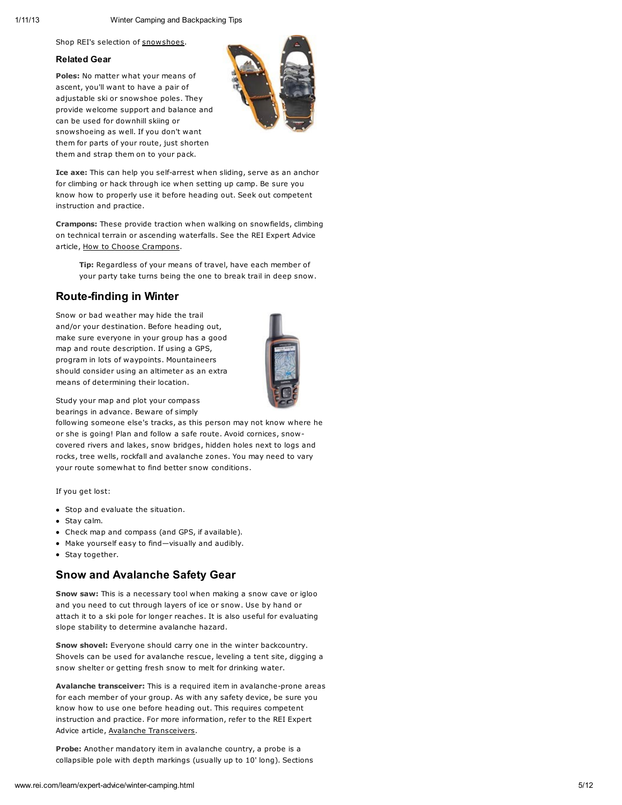Shop REI's selection of [snowshoes.](http://www.rei.com/category/4500305)

#### Related Gear

Poles: No matter what your means of ascent, you'll want to have a pair of adjustable ski or snowshoe poles. They provide welcome support and balance and can be used for downhill skiing or snowshoeing as well. If you don't want them for parts of your route, just shorten them and strap them on to your pack.



Ice axe: This can help you self-arrest when sliding, serve as an anchor for climbing or hack through ice when setting up camp. Be sure you know how to properly use it before heading out. Seek out competent instruction and practice.

Crampons: These provide traction when walking on snowfields, climbing on technical terrain or ascending waterfalls. See the REI Expert Advice article, How to Choose [Crampons.](http://www.rei.com/learn/expert-advice/crampons-snow-ice-climbing.html)

Tip: Regardless of your means of travel, have each member of your party take turns being the one to break trail in deep snow.

### Route-finding in Winter

Snow or bad weather may hide the trail and/or your destination. Before heading out, make sure everyone in your group has a good map and route description. If using a GPS, program in lots of waypoints. Mountaineers should consider using an altimeter as an extra means of determining their location.



Study your map and plot your compass bearings in advance. Beware of simply

following someone else's tracks, as this person may not know where he or she is going! Plan and follow a safe route. Avoid cornices, snowcovered rivers and lakes, snow bridges, hidden holes next to logs and rocks, tree wells, rockfall and avalanche zones. You may need to vary your route somewhat to find better snow conditions.

If you get lost:

- Stop and evaluate the situation.
- Stay calm.
- Check map and compass (and GPS, if available).
- Make yourself easy to find—visually and audibly.
- Stay together.

### Snow and Avalanche Safety Gear

Snow saw: This is a necessary tool when making a snow cave or igloo and you need to cut through layers of ice or snow. Use by hand or attach it to a ski pole for longer reaches. It is also useful for evaluating slope stability to determine avalanche hazard.

Snow shovel: Everyone should carry one in the winter backcountry. Shovels can be used for avalanche rescue, leveling a tent site, digging a snow shelter or getting fresh snow to melt for drinking water.

Avalanche transceiver: This is a required item in avalanche-prone areas for each member of your group. As with any safety device, be sure you know how to use one before heading out. This requires competent instruction and practice. For more information, refer to the REI Expert Advice article, Avalanche [Transceivers](http://www.rei.com/learn/expert-advice/avalanche-transceiver.html).

Probe: Another mandatory item in avalanche country, a probe is a collapsible pole with depth markings (usually up to 10' long). Sections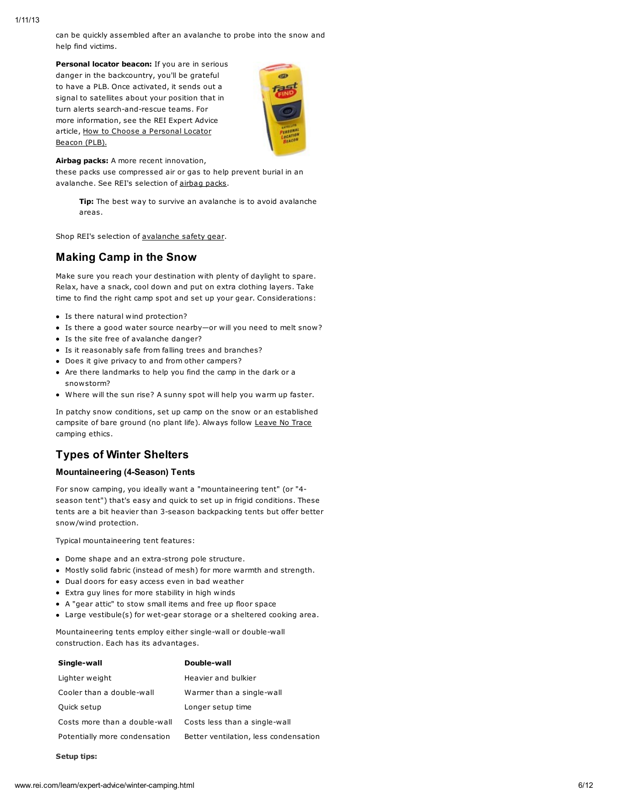can be quickly assembled after an avalanche to probe into the snow and help find victims.

Personal locator beacon: If you are in serious danger in the backcountry, you'll be grateful to have a PLB. Once activated, it sends out a signal to satellites about your position that in turn alerts search-and-rescue teams. For more information, see the REI Expert Advice article, How to Choose a [Personal](http://www.rei.com/learn/expert-advice/personal-locator-beacons.html) Locator Beacon (PLB).



Airbag packs: A more recent innovation,

these packs use compressed air or gas to help prevent burial in an avalanche. See REI's selection of [airbag](http://www.rei.com/category/4500577) packs.

Tip: The best way to survive an avalanche is to avoid avalanche areas.

Shop REI's selection of [avalanche](http://www.rei.com/category/4500076) safety gear.

### Making Camp in the Snow

Make sure you reach your destination with plenty of daylight to spare. Relax, have a snack, cool down and put on extra clothing layers. Take time to find the right camp spot and set up your gear. Considerations:

- Is there natural wind protection?
- Is there a good water source nearby—or will you need to melt snow?
- Is the site free of avalanche danger?
- Is it reasonably safe from falling trees and branches?
- Does it give privacy to and from other campers?
- Are there landmarks to help you find the camp in the dark or a snowstorm?
- Where will the sun rise? A sunny spot will help you warm up faster.

In patchy snow conditions, set up camp on the snow or an established campsite of bare ground (no plant life). Always follow [Leave](http://www.lnt.org/) No Trace camping ethics.

### Types of Winter Shelters

#### Mountaineering (4-Season) Tents

For snow camping, you ideally want a "mountaineering tent" (or "4 season tent") that's easy and quick to set up in frigid conditions. These tents are a bit heavier than 3-season backpacking tents but offer better snow/wind protection.

Typical mountaineering tent features:

- Dome shape and an extra-strong pole structure.
- Mostly solid fabric (instead of mesh) for more warmth and strength.
- Dual doors for easy access even in bad weather
- Extra guy lines for more stability in high winds
- A "gear attic" to stow small items and free up floor space
- Large vestibule(s) for wet-gear storage or a sheltered cooking area.

Mountaineering tents employ either single-wall or double-wall construction. Each has its advantages.

| Single-wall                   | Double-wall                           |
|-------------------------------|---------------------------------------|
| Lighter weight                | Heavier and bulkier                   |
| Cooler than a double-wall     | Warmer than a single-wall             |
| Quick setup                   | Longer setup time                     |
| Costs more than a double-wall | Costs less than a single-wall         |
| Potentially more condensation | Better ventilation, less condensation |
|                               |                                       |

Setup tips: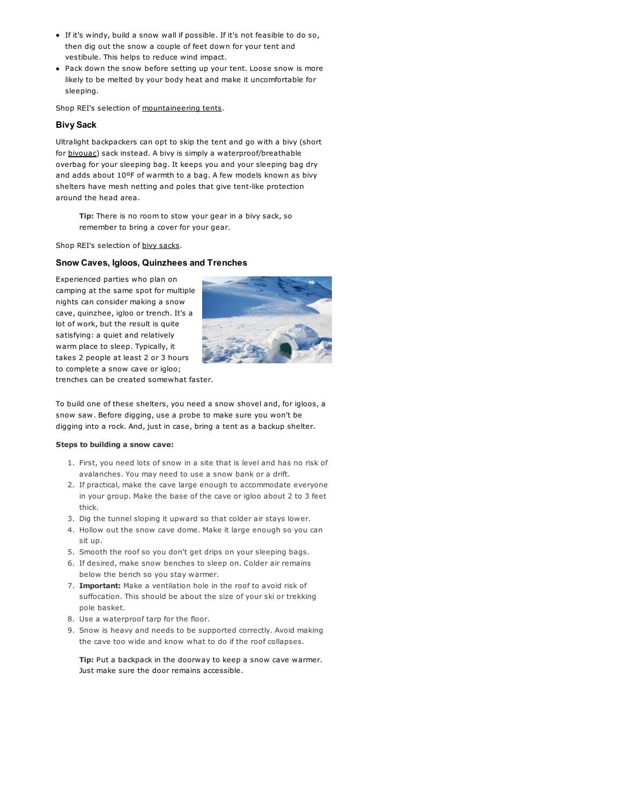- If it's windy, build a snow wall if possible. If it's not feasible to do so, then dig out the snow a couple of feet down for your tent and vestibule. This helps to reduce wind impact.
- Pack down the snow before setting up your tent. Loose snow is more likely to be melted by your body heat and make it uncomfortable for sleeping.

Shop REI's selection of [mountaineering](http://www.rei.com/category/40003500) tents.

#### Bivy Sack

Ultralight backpackers can opt to skip the tent and go with a bivy (short for [bivouac\)](http://www.rei.com/expertadvice/articles/bivy+sack.html) sack instead. A bivy is simply a waterproof/breathable overbag for your sleeping bag. It keeps you and your sleeping bag dry and adds about 10ºF of warmth to a bag. A few models known as bivy shelters have mesh netting and poles that give tent-like protection around the head area.

Tip: There is no room to stow your gear in a bivy sack, so remember to bring a cover for your gear.

Shop REI's selection of **bivy sacks**.

#### Snow Caves, Igloos, Quinzhees and Trenches

Experienced parties who plan on camping at the same spot for multiple nights can consider making a snow cave, quinzhee, igloo or trench. It's a lot of work, but the result is quite satisfying: a quiet and relatively warm place to sleep. Typically, it takes 2 people at least 2 or 3 hours to complete a snow cave or igloo; trenches can be created somewhat faster.



To build one of these shelters, you need a snow shovel and, for igloos, a snow saw. Before digging, use a probe to make sure you won't be digging into a rock. And, just in case, bring a tent as a backup shelter.

#### Steps to building a snow cave:

- 1. First, you need lots of snow in a site that is level and has no risk of avalanches. You may need to use a snow bank or a drift.
- 2. If practical, make the cave large enough to accommodate everyone in your group. Make the base of the cave or igloo about 2 to 3 feet thick.
- 3. Dig the tunnel sloping it upward so that colder air stays lower.
- 4. Hollow out the snow cave dome. Make it large enough so you can sit up.
- 5. Smooth the roof so you don't get drips on your sleeping bags.
- 6. If desired, make snow benches to sleep on. Colder air remains below the bench so you stay warmer.
- 7. Important: Make a ventilation hole in the roof to avoid risk of suffocation. This should be about the size of your ski or trekking pole basket.
- 8. Use a waterproof tarp for the floor.
- 9. Snow is heavy and needs to be supported correctly. Avoid making the cave too wide and know what to do if the roof collapses.

Tip: Put a backpack in the doorway to keep a snow cave warmer. Just make sure the door remains accessible.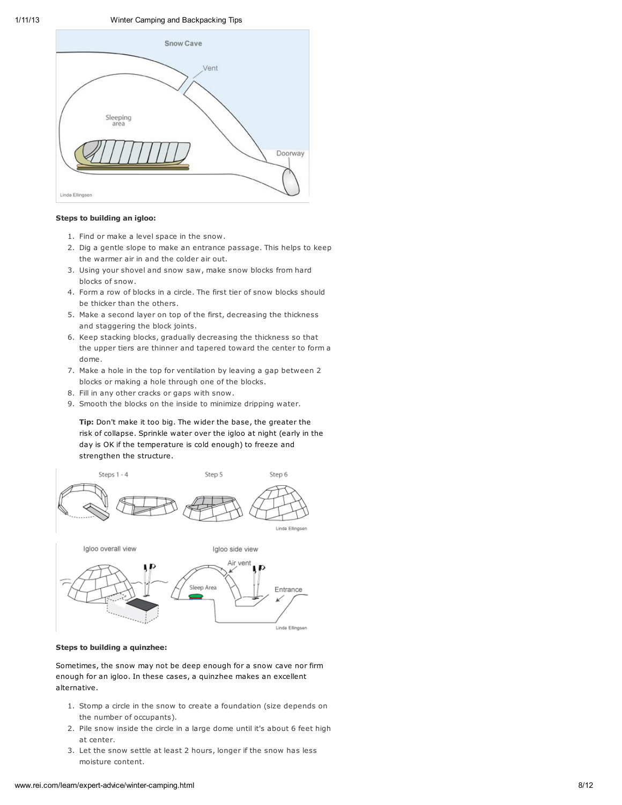

#### Steps to building an igloo:

- 1. Find or make a level space in the snow.
- 2. Dig a gentle slope to make an entrance passage. This helps to keep the warmer air in and the colder air out.
- 3. Using your shovel and snow saw, make snow blocks from hard blocks of snow.
- 4. Form a row of blocks in a circle. The first tier of snow blocks should be thicker than the others.
- 5. Make a second layer on top of the first, decreasing the thickness and staggering the block joints.
- 6. Keep stacking blocks, gradually decreasing the thickness so that the upper tiers are thinner and tapered toward the center to form a dome.
- 7. Make a hole in the top for ventilation by leaving a gap between 2 blocks or making a hole through one of the blocks.
- 8. Fill in any other cracks or gaps with snow.
- 9. Smooth the blocks on the inside to minimize dripping water.

Tip: Don't make it too big. The wider the base, the greater the risk of collapse. Sprinkle water over the igloo at night (early in the day is OK if the temperature is cold enough) to freeze and strengthen the structure.





#### Steps to building a quinzhee:

Sometimes, the snow may not be deep enough for a snow cave nor firm enough for an igloo. In these cases, a quinzhee makes an excellent alternative.

- 1. Stomp a circle in the snow to create a foundation (size depends on the number of occupants).
- 2. Pile snow inside the circle in a large dome until it's about 6 feet high at center.
- 3. Let the snow settle at least 2 hours, longer if the snow has less moisture content.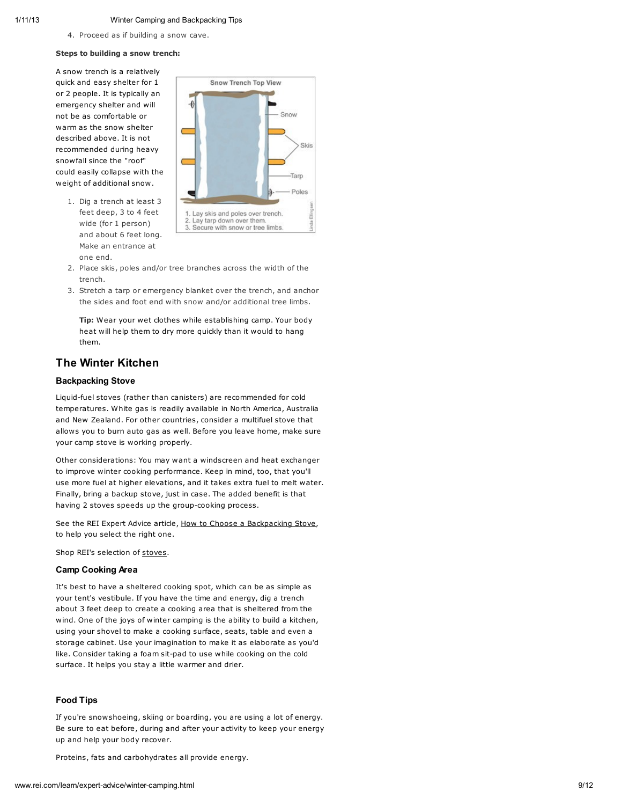4. Proceed as if building a snow cave.

#### Steps to building a snow trench:

A snow trench is a relatively quick and easy shelter for 1 or 2 people. It is typically an emergency shelter and will not be as comfortable or warm as the snow shelter described above. It is not recommended during heavy snowfall since the "roof" could easily collapse with the weight of additional snow.



- 1. Dig a trench at least 3 feet deep, 3 to 4 feet wide (for 1 person) and about 6 feet long. Make an entrance at one end.
- 2. Place skis, poles and/or tree branches across the width of the trench.
- 3. Stretch a tarp or emergency blanket over the trench, and anchor the sides and foot end with snow and/or additional tree limbs.

Tip: Wear your wet clothes while establishing camp. Your body heat will help them to dry more quickly than it would to hang them.

### The Winter Kitchen

#### Backpacking Stove

Liquid-fuel stoves (rather than canisters) are recommended for cold temperatures. White gas is readily available in North America, Australia and New Zealand. For other countries, consider a multifuel stove that allows you to burn auto gas as well. Before you leave home, make sure your camp stove is working properly.

Other considerations: You may want a windscreen and heat exchanger to improve winter cooking performance. Keep in mind, too, that you'll use more fuel at higher elevations, and it takes extra fuel to melt water. Finally, bring a backup stove, just in case. The added benefit is that having 2 stoves speeds up the group-cooking process.

See the REI Expert Advice article, How to Choose a [Backpacking](http://www.rei.com/expertadvice/articles/backpacking+stove.html) Stove, to help you select the right one.

Shop REI's selection of [stoves](http://www.rei.com/category/4500028).

#### Camp Cooking Area

It's best to have a sheltered cooking spot, which can be as simple as your tent's vestibule. If you have the time and energy, dig a trench about 3 feet deep to create a cooking area that is sheltered from the wind. One of the joys of winter camping is the ability to build a kitchen, using your shovel to make a cooking surface, seats, table and even a storage cabinet. Use your imagination to make it as elaborate as you'd like. Consider taking a foam sit-pad to use while cooking on the cold surface. It helps you stay a little warmer and drier.

#### Food Tips

If you're snowshoeing, skiing or boarding, you are using a lot of energy. Be sure to eat before, during and after your activity to keep your energy up and help your body recover.

Proteins, fats and carbohydrates all provide energy.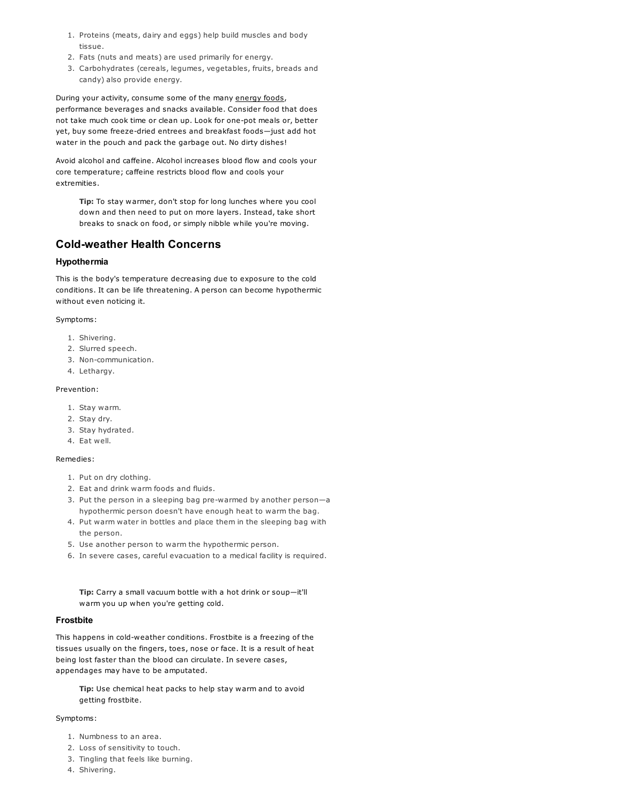- 1. Proteins (meats, dairy and eggs) help build muscles and body tissue.
- 2. Fats (nuts and meats) are used primarily for energy.
- 3. Carbohydrates (cereals, legumes, vegetables, fruits, breads and candy) also provide energy.

During your activity, consume some of the many [energy](http://www.rei.com/category/4500061) foods, performance beverages and snacks available. Consider food that does not take much cook time or clean up. Look for one-pot meals or, better yet, buy some freeze-dried entrees and breakfast foods—just add hot water in the pouch and pack the garbage out. No dirty dishes!

Avoid alcohol and caffeine. Alcohol increases blood flow and cools your core temperature; caffeine restricts blood flow and cools your extremities.

Tip: To stay warmer, don't stop for long lunches where you cool down and then need to put on more layers. Instead, take short breaks to snack on food, or simply nibble while you're moving.

### Cold-weather Health Concerns

### Hypothermia

This is the body's temperature decreasing due to exposure to the cold conditions. It can be life threatening. A person can become hypothermic without even noticing it.

Symptoms:

- 1. Shivering.
- 2. Slurred speech.
- 3. Non-communication.
- 4. Lethargy.

#### Prevention:

- 1. Stay warm.
- 2. Stay dry.
- 3. Stay hydrated.
- 4. Eat well.

#### Remedies:

- 1. Put on dry clothing.
- 2. Eat and drink warm foods and fluids.
- 3. Put the person in a sleeping bag pre-warmed by another person—a hypothermic person doesn't have enough heat to warm the bag.
- 4. Put warm water in bottles and place them in the sleeping bag with the person.
- 5. Use another person to warm the hypothermic person.
- 6. In severe cases, careful evacuation to a medical facility is required.

Tip: Carry a small vacuum bottle with a hot drink or soup—it'll warm you up when you're getting cold.

#### Frostbite

This happens in cold-weather conditions. Frostbite is a freezing of the tissues usually on the fingers, toes, nose or face. It is a result of heat being lost faster than the blood can circulate. In severe cases, appendages may have to be amputated.

Tip: Use chemical heat packs to help stay warm and to avoid getting frostbite.

#### Symptoms:

- 1. Numbness to an area.
- 2. Loss of sensitivity to touch.
- 3. Tingling that feels like burning.
- 4. Shivering.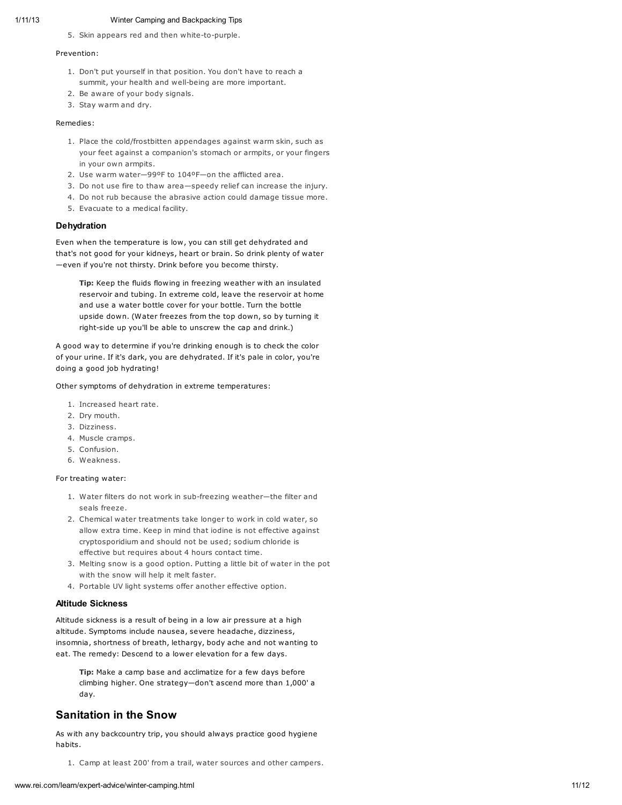5. Skin appears red and then white-to-purple.

#### Prevention:

- 1. Don't put yourself in that position. You don't have to reach a summit, your health and well-being are more important.
- 2. Be aware of your body signals.
- 3. Stay warm and dry.

#### Remedies:

- 1. Place the cold/frostbitten appendages against warm skin, such as your feet against a companion's stomach or armpits, or your fingers in your own armpits.
- 2. Use warm water—99ºF to 104ºF—on the afflicted area.
- 3. Do not use fire to thaw area—speedy relief can increase the injury.
- 4. Do not rub because the abrasive action could damage tissue more.
- 5. Evacuate to a medical facility.

#### **Dehydration**

Even when the temperature is low, you can still get dehydrated and that's not good for your kidneys, heart or brain. So drink plenty of water —even if you're not thirsty. Drink before you become thirsty.

Tip: Keep the fluids flowing in freezing weather with an insulated reservoir and tubing. In extreme cold, leave the reservoir at home and use a water bottle cover for your bottle. Turn the bottle upside down. (Water freezes from the top down, so by turning it right-side up you'll be able to unscrew the cap and drink.)

A good way to determine if you're drinking enough is to check the color of your urine. If it's dark, you are dehydrated. If it's pale in color, you're doing a good job hydrating!

Other symptoms of dehydration in extreme temperatures:

- 1. Increased heart rate.
- 2. Dry mouth.
- 3. Dizziness.
- 4. Muscle cramps.
- 5. Confusion.
- 6. Weakness.

#### For treating water:

- 1. Water filters do not work in sub-freezing weather—the filter and seals freeze.
- 2. Chemical water treatments take longer to work in cold water, so allow extra time. Keep in mind that iodine is not effective against cryptosporidium and should not be used; sodium chloride is effective but requires about 4 hours contact time.
- 3. Melting snow is a good option. Putting a little bit of water in the pot with the snow will help it melt faster.
- 4. Portable UV light systems offer another effective option.

#### Altitude Sickness

Altitude sickness is a result of being in a low air pressure at a high altitude. Symptoms include nausea, severe headache, dizziness, insomnia, shortness of breath, lethargy, body ache and not wanting to eat. The remedy: Descend to a lower elevation for a few days.

Tip: Make a camp base and acclimatize for a few days before climbing higher. One strategy—don't ascend more than 1,000' a day.

### Sanitation in the Snow

As with any backcountry trip, you should always practice good hygiene habits.

1. Camp at least 200' from a trail, water sources and other campers.